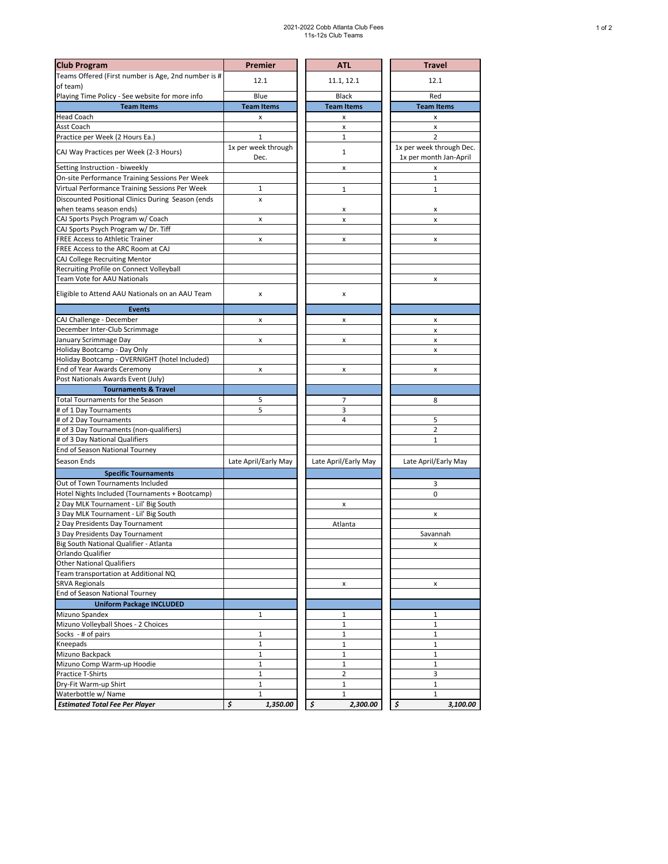## 2021-2022 Cobb Atlanta Club Fees 11s-12s Club Teams

| <b>Club Program</b>                                                       | Premier                     | <b>ATL</b>           | <b>Travel</b>                                      |  |
|---------------------------------------------------------------------------|-----------------------------|----------------------|----------------------------------------------------|--|
| Teams Offered (First number is Age, 2nd number is #                       |                             |                      |                                                    |  |
| of team)                                                                  | 12.1                        | 11.1, 12.1           | 12.1                                               |  |
|                                                                           | Blue                        |                      | Red                                                |  |
| Playing Time Policy - See website for more info                           |                             | <b>Black</b>         |                                                    |  |
| <b>Team Items</b>                                                         | <b>Team Items</b>           | <b>Team Items</b>    | <b>Team Items</b>                                  |  |
| <b>Head Coach</b>                                                         | x                           | x                    | x                                                  |  |
| Asst Coach                                                                |                             | X                    | X                                                  |  |
| Practice per Week (2 Hours Ea.)                                           | 1                           | 1                    | $\overline{2}$                                     |  |
| CAJ Way Practices per Week (2-3 Hours)                                    | 1x per week through<br>Dec. | 1                    | 1x per week through Dec.<br>1x per month Jan-April |  |
| Setting Instruction - biweekly                                            |                             | x                    | x                                                  |  |
| On-site Performance Training Sessions Per Week                            |                             |                      | $\mathbf{1}$                                       |  |
| Virtual Performance Training Sessions Per Week                            | 1                           | 1                    | 1                                                  |  |
| Discounted Positional Clinics During Season (ends                         | x                           |                      |                                                    |  |
| when teams season ends)                                                   |                             | x                    | x                                                  |  |
| CAJ Sports Psych Program w/ Coach                                         | x                           | x                    | x                                                  |  |
| CAJ Sports Psych Program w/ Dr. Tiff                                      |                             |                      |                                                    |  |
| <b>FREE Access to Athletic Trainer</b>                                    | x                           | x                    | x                                                  |  |
| FREE Access to the ARC Room at CAJ                                        |                             |                      |                                                    |  |
|                                                                           |                             |                      |                                                    |  |
| CAJ College Recruiting Mentor<br>Recruiting Profile on Connect Volleyball |                             |                      |                                                    |  |
|                                                                           |                             |                      |                                                    |  |
| Team Vote for AAU Nationals                                               |                             |                      | x                                                  |  |
| Eligible to Attend AAU Nationals on an AAU Team                           | x                           | x                    |                                                    |  |
| <b>Events</b>                                                             |                             |                      |                                                    |  |
| CAJ Challenge - December                                                  | x                           | x                    | х                                                  |  |
| December Inter-Club Scrimmage                                             |                             |                      | x                                                  |  |
| January Scrimmage Day                                                     | x                           | X                    | X                                                  |  |
| Holiday Bootcamp - Day Only                                               |                             |                      | x                                                  |  |
| Holiday Bootcamp - OVERNIGHT (hotel Included)                             |                             |                      |                                                    |  |
| End of Year Awards Ceremony                                               | x                           | X                    | x                                                  |  |
| Post Nationals Awards Event (July)                                        |                             |                      |                                                    |  |
| <b>Tournaments &amp; Travel</b>                                           |                             |                      |                                                    |  |
| <b>Total Tournaments for the Season</b>                                   | 5                           | 7                    | 8                                                  |  |
| # of 1 Day Tournaments                                                    | 5                           | 3                    |                                                    |  |
| # of 2 Day Tournaments                                                    |                             | 4                    | 5                                                  |  |
| # of 3 Day Tournaments (non-qualifiers)                                   |                             |                      | 2                                                  |  |
| # of 3 Day National Qualifiers                                            |                             |                      | $\mathbf{1}$                                       |  |
| End of Season National Tourney                                            |                             |                      |                                                    |  |
| Season Ends                                                               | Late April/Early May        | Late April/Early May | Late April/Early May                               |  |
|                                                                           |                             |                      |                                                    |  |
| <b>Specific Tournaments</b>                                               |                             |                      |                                                    |  |
| Out of Town Tournaments Included                                          |                             |                      | 3                                                  |  |
| Hotel Nights Included (Tournaments + Bootcamp)                            |                             |                      | 0                                                  |  |
| 2 Day MLK Tournament - Lil' Big South                                     |                             | x                    |                                                    |  |
| 3 Day MLK Tournament - Lil' Big South                                     |                             |                      | x                                                  |  |
| 2 Day Presidents Day Tournament                                           |                             | Atlanta              |                                                    |  |
| 3 Day Presidents Day Tournament                                           |                             |                      | Savannah                                           |  |
| Big South National Qualifier - Atlanta                                    |                             |                      | X                                                  |  |
| Orlando Qualifier                                                         |                             |                      |                                                    |  |
| <b>Other National Qualifiers</b>                                          |                             |                      |                                                    |  |
| Team transportation at Additional NQ                                      |                             |                      |                                                    |  |
| <b>SRVA Regionals</b>                                                     |                             | x                    | x                                                  |  |
| End of Season National Tourney                                            |                             |                      |                                                    |  |
| <b>Uniform Package INCLUDED</b>                                           |                             |                      |                                                    |  |
| Mizuno Spandex                                                            | $\mathbf{1}$                | 1                    | 1                                                  |  |
| Mizuno Volleyball Shoes - 2 Choices                                       |                             | 1                    | 1                                                  |  |
| Socks - # of pairs                                                        | 1                           | 1                    | 1                                                  |  |
| Kneepads                                                                  | $\mathbf{1}$                | 1                    | 1                                                  |  |
| Mizuno Backpack                                                           | $\mathbf{1}$                | $\mathbf{1}$         | $\mathbf{1}$                                       |  |
| Mizuno Comp Warm-up Hoodie                                                | $\mathbf{1}$                | $\mathbf 1$          | $\mathbf{1}$                                       |  |
| Practice T-Shirts                                                         | 1                           | 2                    | 3                                                  |  |
| Dry-Fit Warm-up Shirt                                                     | $\mathbf{1}$                | 1                    | 1                                                  |  |
| Waterbottle w/ Name                                                       | $\mathbf{1}$                | $\mathbf{1}$         | $\mathbf{1}$                                       |  |
| <b>Estimated Total Fee Per Player</b>                                     | \$<br>1,350.00              | \$<br>2,300.00       | \$<br>3,100.00                                     |  |